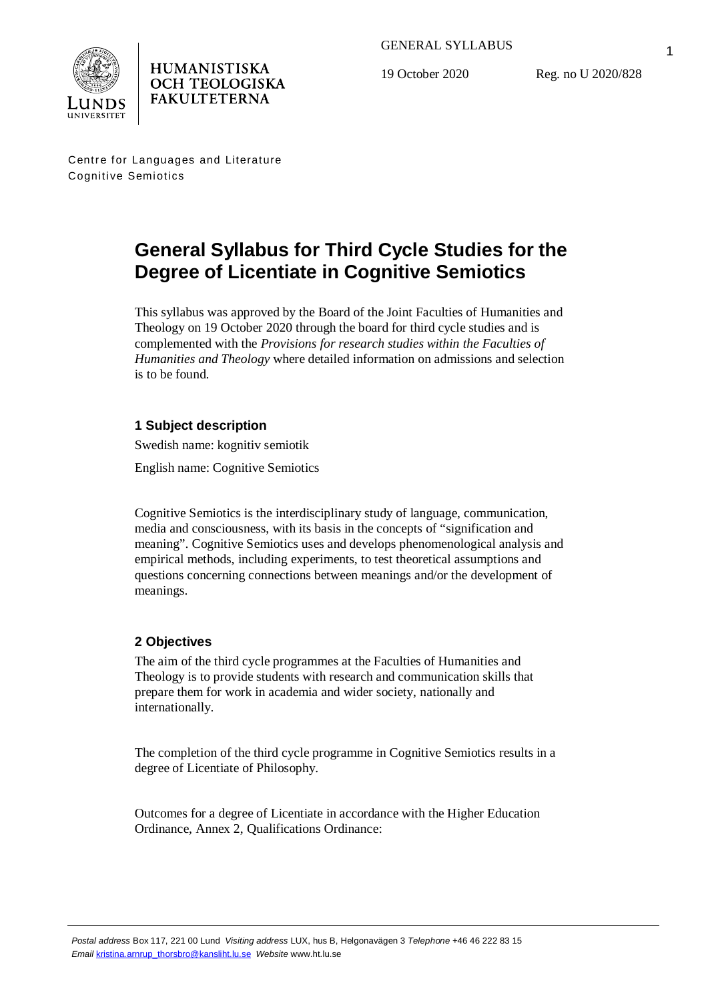

19 October 2020

Reg. no U 2020/828

Centre for Languages and Literature Cognitive Semiotics

**HUMANISTISKA OCH TEOLOGISKA FAKULTETERNA** 

# **General Syllabus for Third Cycle Studies for the Degree of Licentiate in Cognitive Semiotics**

This syllabus was approved by the Board of the Joint Faculties of Humanities and Theology on 19 October 2020 through the board for third cycle studies and is complemented with the *Provisions for research studies within the Faculties of Humanities and Theology* where detailed information on admissions and selection is to be found.

# **1 Subject description**

Swedish name: kognitiv semiotik

English name: Cognitive Semiotics

Cognitive Semiotics is the interdisciplinary study of language, communication, media and consciousness, with its basis in the concepts of "signification and meaning". Cognitive Semiotics uses and develops phenomenological analysis and empirical methods, including experiments, to test theoretical assumptions and questions concerning connections between meanings and/or the development of meanings.

# **2 Objectives**

The aim of the third cycle programmes at the Faculties of Humanities and Theology is to provide students with research and communication skills that prepare them for work in academia and wider society, nationally and internationally.

The completion of the third cycle programme in Cognitive Semiotics results in a degree of Licentiate of Philosophy.

Outcomes for a degree of Licentiate in accordance with the Higher Education Ordinance, Annex 2, Qualifications Ordinance: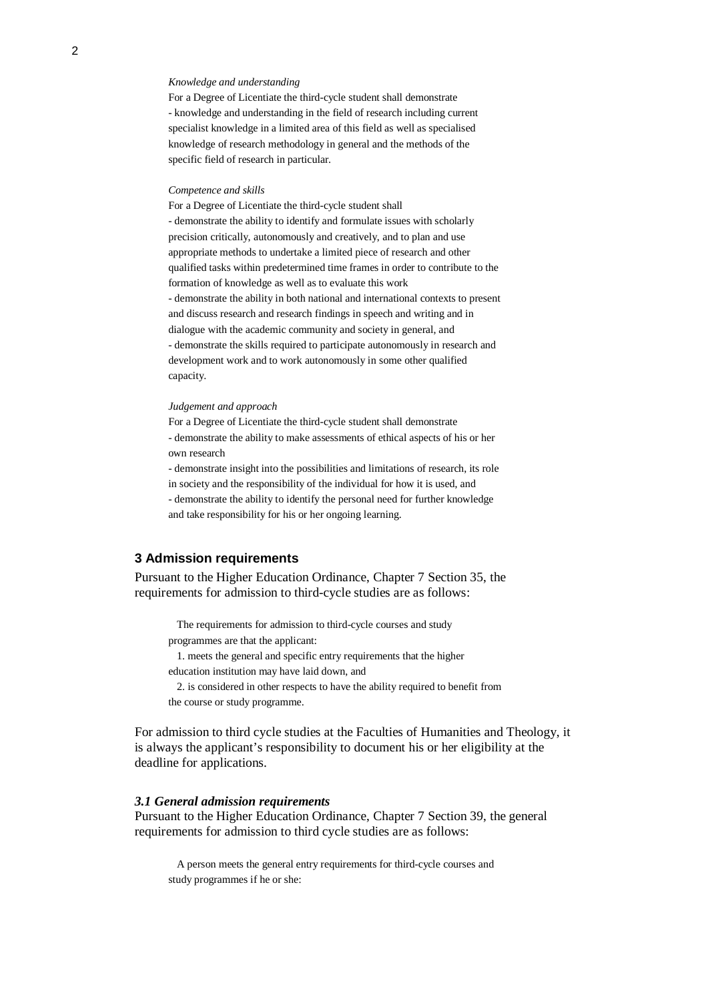#### *Knowledge and understanding*

For a Degree of Licentiate the third-cycle student shall demonstrate - knowledge and understanding in the field of research including current specialist knowledge in a limited area of this field as well as specialised knowledge of research methodology in general and the methods of the specific field of research in particular.

#### *Competence and skills*

For a Degree of Licentiate the third-cycle student shall - demonstrate the ability to identify and formulate issues with scholarly precision critically, autonomously and creatively, and to plan and use appropriate methods to undertake a limited piece of research and other qualified tasks within predetermined time frames in order to contribute to the formation of knowledge as well as to evaluate this work - demonstrate the ability in both national and international contexts to present and discuss research and research findings in speech and writing and in dialogue with the academic community and society in general, and - demonstrate the skills required to participate autonomously in research and development work and to work autonomously in some other qualified capacity.

#### *Judgement and approach*

For a Degree of Licentiate the third-cycle student shall demonstrate - demonstrate the ability to make assessments of ethical aspects of his or her own research

- demonstrate insight into the possibilities and limitations of research, its role in society and the responsibility of the individual for how it is used, and - demonstrate the ability to identify the personal need for further knowledge and take responsibility for his or her ongoing learning.

## **3 Admission requirements**

Pursuant to the Higher Education Ordinance, Chapter 7 Section 35, the requirements for admission to third-cycle studies are as follows:

The requirements for admission to third-cycle courses and study programmes are that the applicant:

1. meets the general and specific entry requirements that the higher education institution may have laid down, and

2. is considered in other respects to have the ability required to benefit from the course or study programme.

For admission to third cycle studies at the Faculties of Humanities and Theology, it is always the applicant's responsibility to document his or her eligibility at the deadline for applications.

### *3.1 General admission requirements*

Pursuant to the Higher Education Ordinance, Chapter 7 Section 39, the general requirements for admission to third cycle studies are as follows:

A person meets the general entry requirements for third-cycle courses and study programmes if he or she: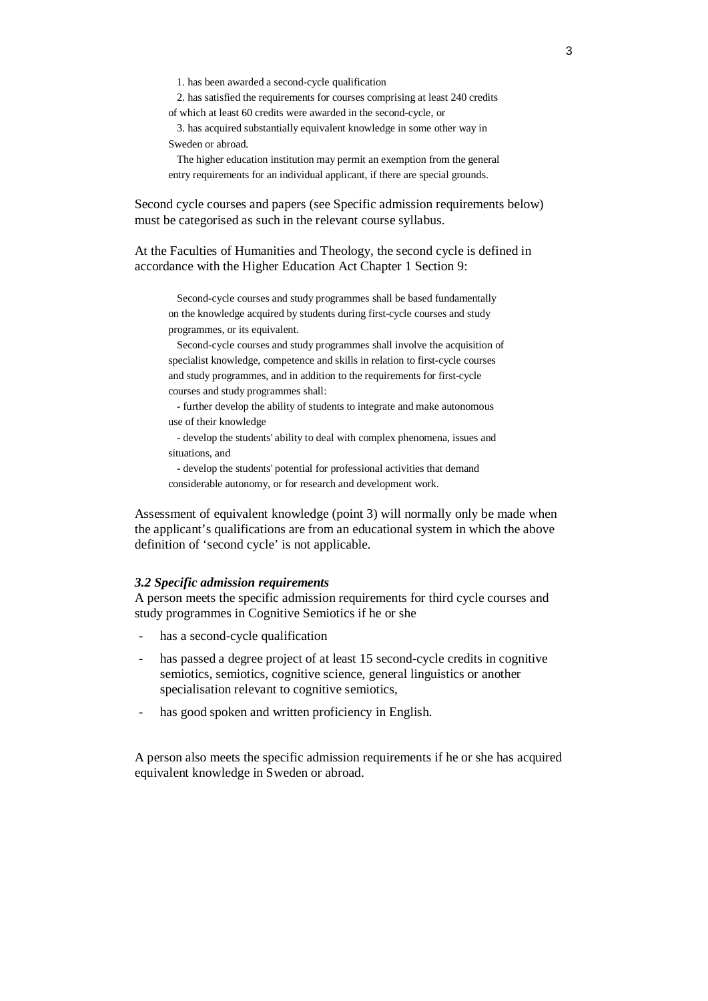1. has been awarded a second-cycle qualification

2. has satisfied the requirements for courses comprising at least 240 credits of which at least 60 credits were awarded in the second-cycle, or

3. has acquired substantially equivalent knowledge in some other way in Sweden or abroad.

The higher education institution may permit an exemption from the general entry requirements for an individual applicant, if there are special grounds.

Second cycle courses and papers (see Specific admission requirements below) must be categorised as such in the relevant course syllabus.

At the Faculties of Humanities and Theology, the second cycle is defined in accordance with the Higher Education Act Chapter 1 Section 9:

Second-cycle courses and study programmes shall be based fundamentally on the knowledge acquired by students during first-cycle courses and study programmes, or its equivalent.

Second-cycle courses and study programmes shall involve the acquisition of specialist knowledge, competence and skills in relation to first-cycle courses and study programmes, and in addition to the requirements for first-cycle courses and study programmes shall:

- further develop the ability of students to integrate and make autonomous use of their knowledge

- develop the students' ability to deal with complex phenomena, issues and situations, and

- develop the students' potential for professional activities that demand considerable autonomy, or for research and development work.

Assessment of equivalent knowledge (point 3) will normally only be made when the applicant's qualifications are from an educational system in which the above definition of 'second cycle' is not applicable.

### *3.2 Specific admission requirements*

A person meets the specific admission requirements for third cycle courses and study programmes in Cognitive Semiotics if he or she

- has a second-cycle qualification
- has passed a degree project of at least 15 second-cycle credits in cognitive semiotics, semiotics, cognitive science, general linguistics or another specialisation relevant to cognitive semiotics,
- has good spoken and written proficiency in English.

A person also meets the specific admission requirements if he or she has acquired equivalent knowledge in Sweden or abroad.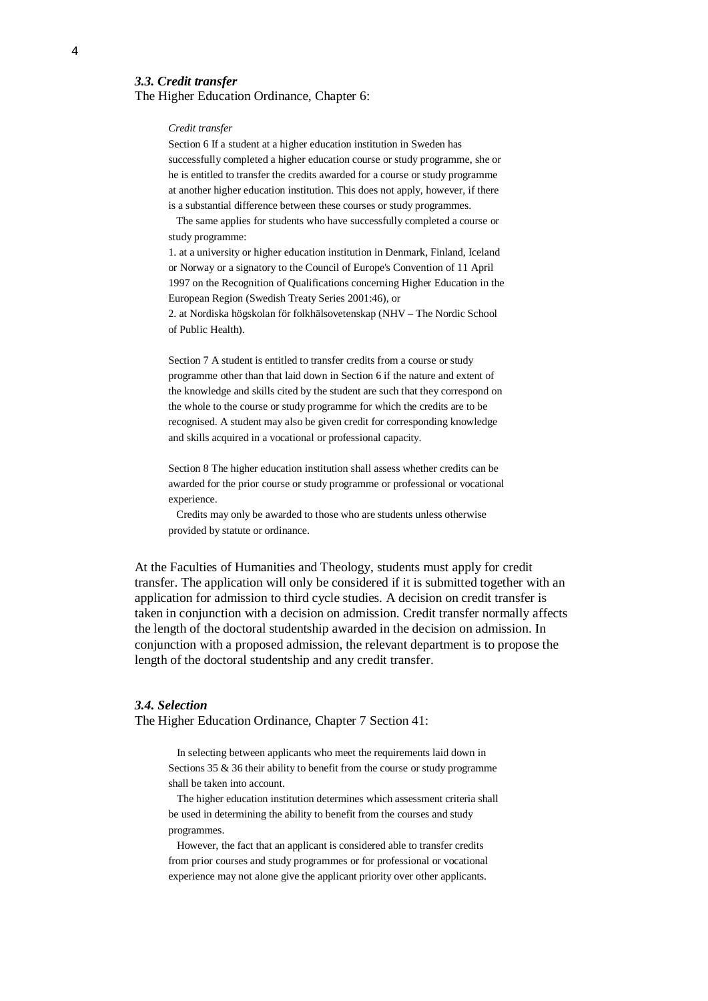## *3.3. Credit transfer*

The Higher Education Ordinance, Chapter 6:

#### *Credit transfer*

Section 6 If a student at a higher education institution in Sweden has successfully completed a higher education course or study programme, she or he is entitled to transfer the credits awarded for a course or study programme at another higher education institution. This does not apply, however, if there is a substantial difference between these courses or study programmes.

 The same applies for students who have successfully completed a course or study programme:

1. at a university or higher education institution in Denmark, Finland, Iceland or Norway or a signatory to the Council of Europe's Convention of 11 April 1997 on the Recognition of Qualifications concerning Higher Education in the European Region (Swedish Treaty Series 2001:46), or

2. at Nordiska högskolan för folkhälsovetenskap (NHV – The Nordic School of Public Health).

Section 7 A student is entitled to transfer credits from a course or study programme other than that laid down in Section 6 if the nature and extent of the knowledge and skills cited by the student are such that they correspond on the whole to the course or study programme for which the credits are to be recognised. A student may also be given credit for corresponding knowledge and skills acquired in a vocational or professional capacity.

Section 8 The higher education institution shall assess whether credits can be awarded for the prior course or study programme or professional or vocational experience.

 Credits may only be awarded to those who are students unless otherwise provided by statute or ordinance.

At the Faculties of Humanities and Theology, students must apply for credit transfer. The application will only be considered if it is submitted together with an application for admission to third cycle studies. A decision on credit transfer is taken in conjunction with a decision on admission. Credit transfer normally affects the length of the doctoral studentship awarded in the decision on admission. In conjunction with a proposed admission, the relevant department is to propose the length of the doctoral studentship and any credit transfer.

#### *3.4. Selection*

The Higher Education Ordinance, Chapter 7 Section 41:

In selecting between applicants who meet the requirements laid down in Sections  $35 \& 36$  their ability to benefit from the course or study programme shall be taken into account.

The higher education institution determines which assessment criteria shall be used in determining the ability to benefit from the courses and study programmes.

However, the fact that an applicant is considered able to transfer credits from prior courses and study programmes or for professional or vocational experience may not alone give the applicant priority over other applicants.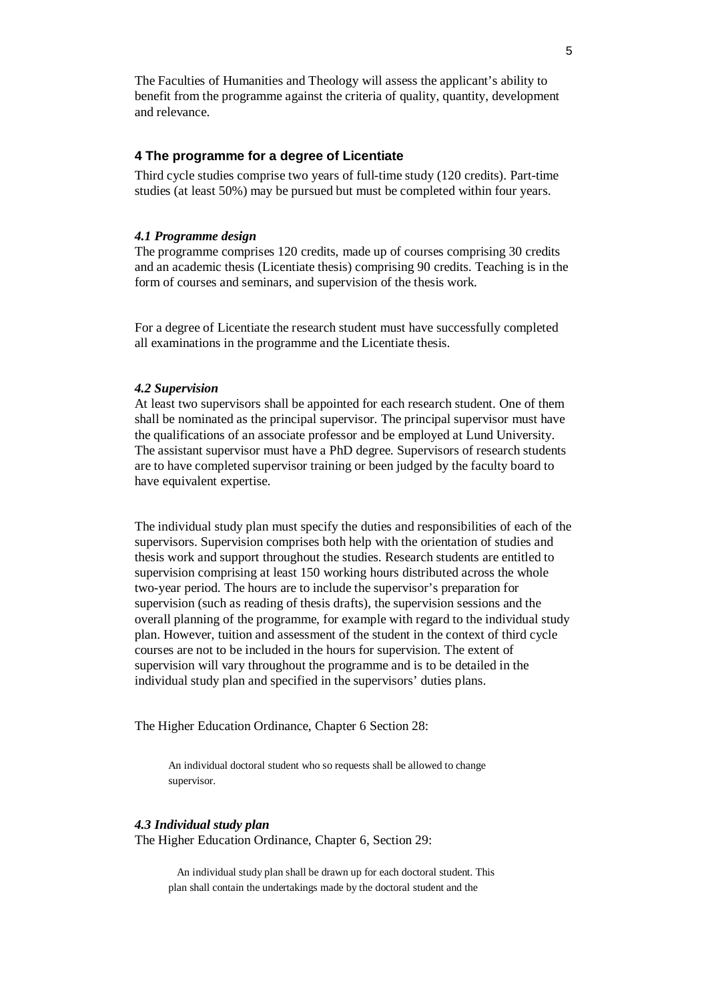The Faculties of Humanities and Theology will assess the applicant's ability to benefit from the programme against the criteria of quality, quantity, development and relevance.

## **4 The programme for a degree of Licentiate**

Third cycle studies comprise two years of full-time study (120 credits). Part-time studies (at least 50%) may be pursued but must be completed within four years.

#### *4.1 Programme design*

The programme comprises 120 credits, made up of courses comprising 30 credits and an academic thesis (Licentiate thesis) comprising 90 credits. Teaching is in the form of courses and seminars, and supervision of the thesis work.

For a degree of Licentiate the research student must have successfully completed all examinations in the programme and the Licentiate thesis.

### *4.2 Supervision*

At least two supervisors shall be appointed for each research student. One of them shall be nominated as the principal supervisor. The principal supervisor must have the qualifications of an associate professor and be employed at Lund University. The assistant supervisor must have a PhD degree. Supervisors of research students are to have completed supervisor training or been judged by the faculty board to have equivalent expertise.

The individual study plan must specify the duties and responsibilities of each of the supervisors. Supervision comprises both help with the orientation of studies and thesis work and support throughout the studies. Research students are entitled to supervision comprising at least 150 working hours distributed across the whole two-year period. The hours are to include the supervisor's preparation for supervision (such as reading of thesis drafts), the supervision sessions and the overall planning of the programme, for example with regard to the individual study plan. However, tuition and assessment of the student in the context of third cycle courses are not to be included in the hours for supervision. The extent of supervision will vary throughout the programme and is to be detailed in the individual study plan and specified in the supervisors' duties plans.

The Higher Education Ordinance, Chapter 6 Section 28:

An individual doctoral student who so requests shall be allowed to change supervisor.

## *4.3 Individual study plan*

The Higher Education Ordinance, Chapter 6, Section 29:

An individual study plan shall be drawn up for each doctoral student. This plan shall contain the undertakings made by the doctoral student and the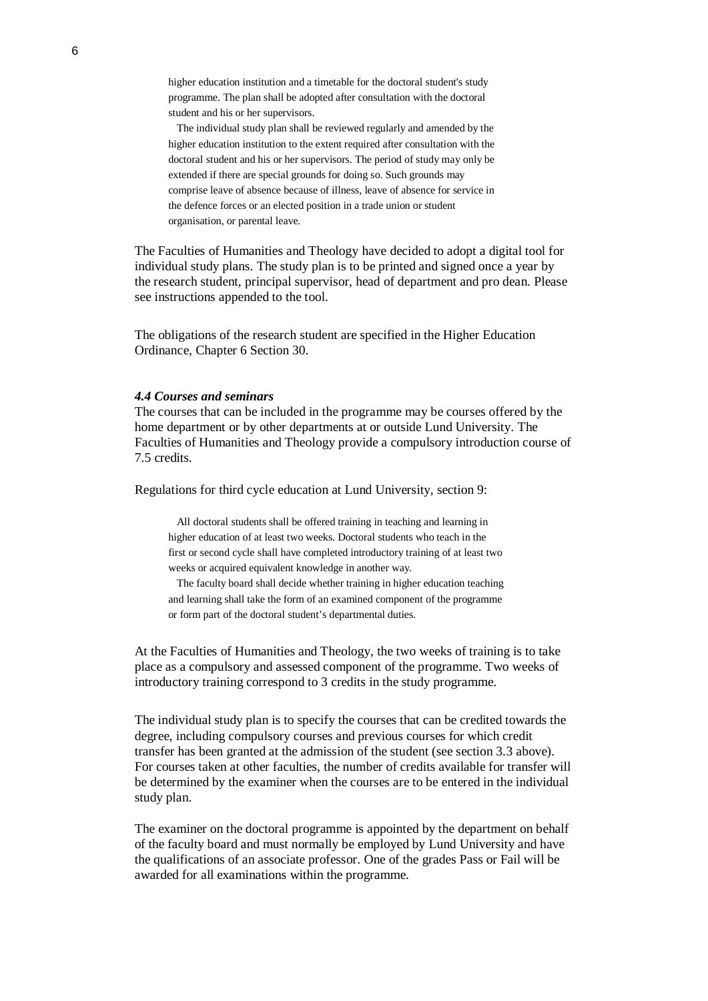higher education institution and a timetable for the doctoral student's study programme. The plan shall be adopted after consultation with the doctoral student and his or her supervisors.

The individual study plan shall be reviewed regularly and amended by the higher education institution to the extent required after consultation with the doctoral student and his or her supervisors. The period of study may only be extended if there are special grounds for doing so. Such grounds may comprise leave of absence because of illness, leave of absence for service in the defence forces or an elected position in a trade union or student organisation, or parental leave.

The Faculties of Humanities and Theology have decided to adopt a digital tool for individual study plans. The study plan is to be printed and signed once a year by the research student, principal supervisor, head of department and pro dean. Please see instructions appended to the tool.

The obligations of the research student are specified in the Higher Education Ordinance, Chapter 6 Section 30.

#### *4.4 Courses and seminars*

The courses that can be included in the programme may be courses offered by the home department or by other departments at or outside Lund University. The Faculties of Humanities and Theology provide a compulsory introduction course of 7.5 credits.

Regulations for third cycle education at Lund University, section 9:

All doctoral students shall be offered training in teaching and learning in higher education of at least two weeks. Doctoral students who teach in the first or second cycle shall have completed introductory training of at least two weeks or acquired equivalent knowledge in another way.

The faculty board shall decide whether training in higher education teaching and learning shall take the form of an examined component of the programme or form part of the doctoral student's departmental duties.

At the Faculties of Humanities and Theology, the two weeks of training is to take place as a compulsory and assessed component of the programme. Two weeks of introductory training correspond to 3 credits in the study programme.

The individual study plan is to specify the courses that can be credited towards the degree, including compulsory courses and previous courses for which credit transfer has been granted at the admission of the student (see section 3.3 above). For courses taken at other faculties, the number of credits available for transfer will be determined by the examiner when the courses are to be entered in the individual study plan.

The examiner on the doctoral programme is appointed by the department on behalf of the faculty board and must normally be employed by Lund University and have the qualifications of an associate professor. One of the grades Pass or Fail will be awarded for all examinations within the programme.